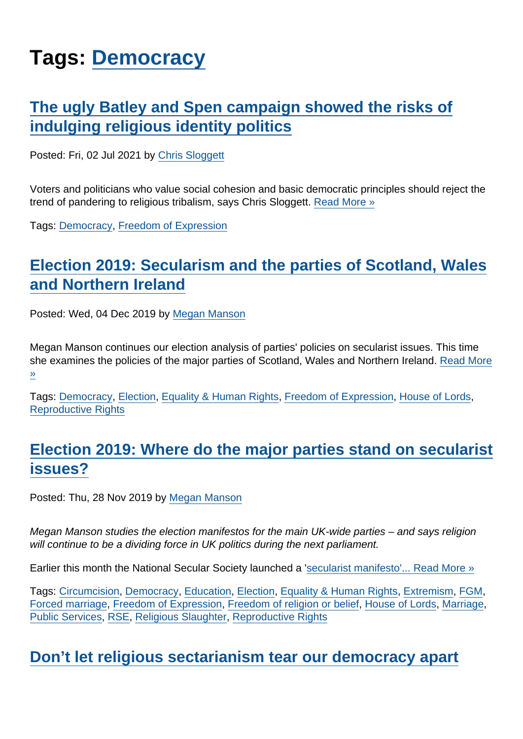# Tags: [Democracy](https://www.secularism.org.uk/opinion/tags/Democracy)

## [The ugly Batley and Spen campaign showed the risks of](https://www.secularism.org.uk/opinion/2021/07/the-ugly-batley-and-spen-campaign-showed-the-risks-of-indulging-religious-identity-politics) [indulging religious identity politics](https://www.secularism.org.uk/opinion/2021/07/the-ugly-batley-and-spen-campaign-showed-the-risks-of-indulging-religious-identity-politics)

Posted: Fri, 02 Jul 2021 by [Chris Sloggett](https://www.secularism.org.uk/opinion/authors/968)

Voters and politicians who value social cohesion and basic democratic principles should reject the trend of pandering to religious tribalism, says Chris Sloggett. [Read More »](https://www.secularism.org.uk/opinion/2021/07/the-ugly-batley-and-spen-campaign-showed-the-risks-of-indulging-religious-identity-politics)

Tags: [Democracy](https://www.secularism.org.uk/opinion/tags/Democracy), [Freedom of Expression](https://www.secularism.org.uk/opinion/tags/Freedom+of+Expression)

# [Election 2019: Secularism and the parties of Scotland, Wales](https://www.secularism.org.uk/opinion/2019/12/election-2019-secularist-issues-and-the-parties-of-scotland-wales-and-northern-ireland) [and Northern Ireland](https://www.secularism.org.uk/opinion/2019/12/election-2019-secularist-issues-and-the-parties-of-scotland-wales-and-northern-ireland)

Posted: Wed, 04 Dec 2019 by [Megan Manson](https://www.secularism.org.uk/opinion/authors/971)

Megan Manson continues our election analysis of parties' policies on secularist issues. This time she examines the policies of the major parties of Scotland, Wales and Northern Ireland. [Read More](https://www.secularism.org.uk/opinion/2019/12/election-2019-secularist-issues-and-the-parties-of-scotland-wales-and-northern-ireland) [»](https://www.secularism.org.uk/opinion/2019/12/election-2019-secularist-issues-and-the-parties-of-scotland-wales-and-northern-ireland)

Tags: [Democracy](https://www.secularism.org.uk/opinion/tags/Democracy), [Election](https://www.secularism.org.uk/opinion/tags/Election), [Equality & Human Rights](https://www.secularism.org.uk/opinion/tags/Equality+&+Human+Rights), [Freedom of Expression](https://www.secularism.org.uk/opinion/tags/Freedom+of+Expression), [House of Lords](https://www.secularism.org.uk/opinion/tags/House+of+Lords), [Reproductive Rights](https://www.secularism.org.uk/opinion/tags/Reproductive+Rights)

# [Election 2019: Where do the major parties stand on secularist](https://www.secularism.org.uk/opinion/2019/11/election-2019-where-do-the-major-parties-stand-on-secularist-issues) [issues?](https://www.secularism.org.uk/opinion/2019/11/election-2019-where-do-the-major-parties-stand-on-secularist-issues)

Posted: Thu, 28 Nov 2019 by [Megan Manson](https://www.secularism.org.uk/opinion/authors/971)

Megan Manson studies the election manifestos for the main UK-wide parties – and says religion will continue to be a dividing force in UK politics during the next parliament.

Earlier this month the National Secular Society launched a '[secularist manifesto'...](https://www.secularism.org.uk/election-2019.html) [Read More »](https://www.secularism.org.uk/opinion/2019/11/election-2019-where-do-the-major-parties-stand-on-secularist-issues)

Tags: [Circumcision](https://www.secularism.org.uk/opinion/tags/Circumcision), [Democracy](https://www.secularism.org.uk/opinion/tags/Democracy), [Education](https://www.secularism.org.uk/opinion/tags/Education), [Election,](https://www.secularism.org.uk/opinion/tags/Election) [Equality & Human Rights,](https://www.secularism.org.uk/opinion/tags/Equality+&+Human+Rights) [Extremism](https://www.secularism.org.uk/opinion/tags/Extremism), [FGM](https://www.secularism.org.uk/opinion/tags/FGM), [Forced marriage](https://www.secularism.org.uk/opinion/tags/Forced+marriage), [Freedom of Expression,](https://www.secularism.org.uk/opinion/tags/Freedom+of+Expression) [Freedom of religion or belief,](https://www.secularism.org.uk/opinion/tags/Freedom+of+religion+or+belief) [House of Lords,](https://www.secularism.org.uk/opinion/tags/House+of+Lords) [Marriage,](https://www.secularism.org.uk/opinion/tags/Marriage) [Public Services](https://www.secularism.org.uk/opinion/tags/Public+Services), [RSE](https://www.secularism.org.uk/opinion/tags/RSE), [Religious Slaughter](https://www.secularism.org.uk/opinion/tags/Religious+Slaughter), [Reproductive Rights](https://www.secularism.org.uk/opinion/tags/Reproductive+Rights)

#### [Don't let religious sectarianism tear our democracy apart](https://www.secularism.org.uk/opinion/2019/11/dont-let-religious-sectarianism-tear-our-democracy-apart)